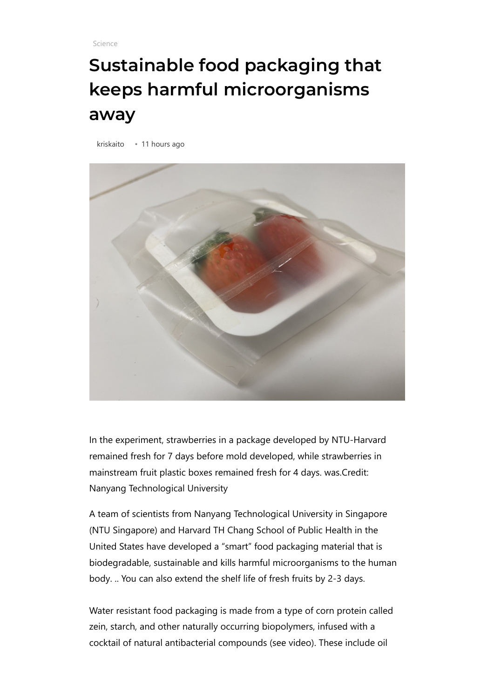[Science](https://fuentitech.com/category/science/)

## **Sustainable food packaging that keeps harmful microorganisms away**

[kriskaito](https://fuentitech.com/author/kriskaito/) • 11 hours ago



In the experiment, strawberries in a package developed by NTU-Harvard remained fresh for 7 days before mold developed, while strawberries in mainstream fruit plastic boxes remained fresh for 4 days. was.Credit: Nanyang Technological University

A team of scientists from Nanyang Technological University in Singapore (NTU Singapore) and Harvard TH Chang School of Public Health in the United States have developed a "smart" food packaging material that is biodegradable, sustainable and kills harmful microorganisms to the human body. .. You can also extend the shelf life of fresh fruits by 2-3 days.

Water resistant food packaging is made from a type of corn protein called zein, starch, and other naturally occurring biopolymers, infused with a cocktail of natural antibacterial compounds (see video). These include oil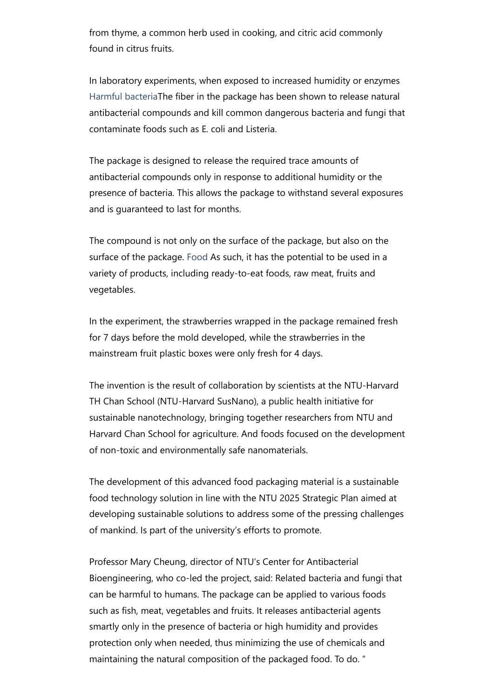from thyme, a common herb used in cooking, and citric acid commonly found in citrus fruits.

In laboratory experiments, when exposed to increased humidity or enzymes [Harmful bacteria](https://phys.org/tags/harmful+bacteria/)The fiber in the package has been shown to release natural antibacterial compounds and kill common dangerous bacteria and fungi that contaminate foods such as E. coli and Listeria.

The package is designed to release the required trace amounts of antibacterial compounds only in response to additional humidity or the presence of bacteria. This allows the package to withstand several exposures and is guaranteed to last for months.

The compound is not only on the surface of the package, but also on the surface of the package. [Food](https://phys.org/tags/food+product/) As such, it has the potential to be used in a variety of products, including ready-to-eat foods, raw meat, fruits and vegetables.

In the experiment, the strawberries wrapped in the package remained fresh for 7 days before the mold developed, while the strawberries in the mainstream fruit plastic boxes were only fresh for 4 days.

The invention is the result of collaboration by scientists at the NTU-Harvard TH Chan School (NTU-Harvard SusNano), a public health initiative for sustainable nanotechnology, bringing together researchers from NTU and Harvard Chan School for agriculture. And foods focused on the development of non-toxic and environmentally safe nanomaterials.

The development of this advanced food packaging material is a sustainable food technology solution in line with the NTU 2025 Strategic Plan aimed at developing sustainable solutions to address some of the pressing challenges of mankind. Is part of the university's efforts to promote.

Professor Mary Cheung, director of NTU's Center for Antibacterial Bioengineering, who co-led the project, said: Related bacteria and fungi that can be harmful to humans. The package can be applied to various foods such as fish, meat, vegetables and fruits. It releases antibacterial agents smartly only in the presence of bacteria or high humidity and provides protection only when needed, thus minimizing the use of chemicals and maintaining the natural composition of the packaged food. To do. "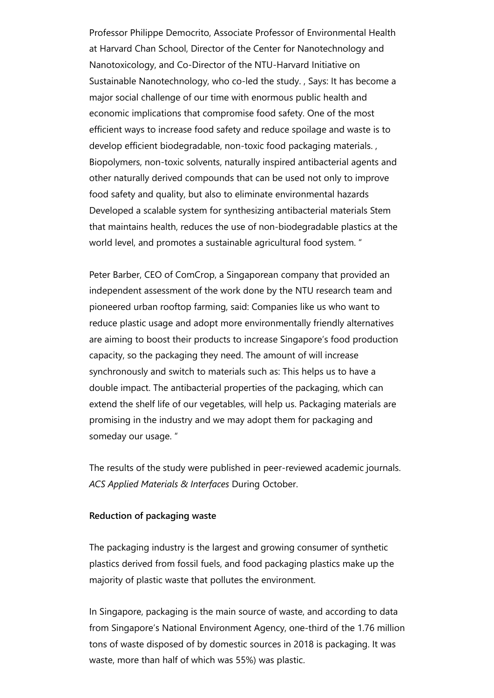Professor Philippe Democrito, Associate Professor of Environmental Health at Harvard Chan School, Director of the Center for Nanotechnology and Nanotoxicology, and Co-Director of the NTU-Harvard Initiative on Sustainable Nanotechnology, who co-led the study. , Says: It has become a major social challenge of our time with enormous public health and economic implications that compromise food safety. One of the most efficient ways to increase food safety and reduce spoilage and waste is to develop efficient biodegradable, non-toxic food packaging materials. , Biopolymers, non-toxic solvents, naturally inspired antibacterial agents and other naturally derived compounds that can be used not only to improve food safety and quality, but also to eliminate environmental hazards Developed a scalable system for synthesizing antibacterial materials Stem that maintains health, reduces the use of non-biodegradable plastics at the world level, and promotes a sustainable agricultural food system. "

Peter Barber, CEO of ComCrop, a Singaporean company that provided an independent assessment of the work done by the NTU research team and pioneered urban rooftop farming, said: Companies like us who want to reduce plastic usage and adopt more environmentally friendly alternatives are aiming to boost their products to increase Singapore's food production capacity, so the packaging they need. The amount of will increase synchronously and switch to materials such as: This helps us to have a double impact. The antibacterial properties of the packaging, which can extend the shelf life of our vegetables, will help us. Packaging materials are promising in the industry and we may adopt them for packaging and someday our usage. "

The results of the study were published in peer-reviewed academic journals. *ACS Applied Materials & Interfaces* During October.

## **Reduction of packaging waste**

The packaging industry is the largest and growing consumer of synthetic plastics derived from fossil fuels, and food packaging plastics make up the majority of plastic waste that pollutes the environment.

In Singapore, packaging is the main source of waste, and according to data from Singapore's National Environment Agency, one-third of the 1.76 million tons of waste disposed of by domestic sources in 2018 is packaging. It was waste, more than half of which was 55%) was plastic.